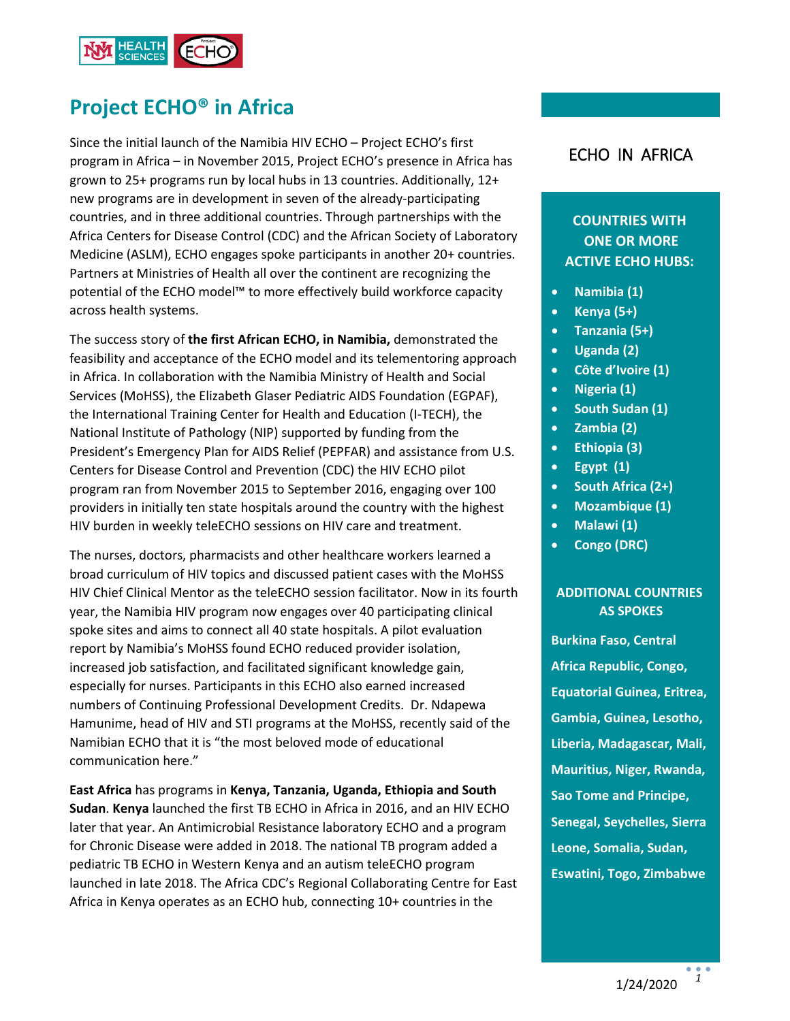

# **Project ECHO® in Africa**

Since the initial launch of the Namibia HIV ECHO – Project ECHO's first program in Africa – in November 2015, Project ECHO's presence in Africa has grown to 25+ programs run by local hubs in 13 countries. Additionally, 12+ new programs are in development in seven of the already-participating countries, and in three additional countries. Through partnerships with the Africa Centers for Disease Control (CDC) and the African Society of Laboratory Medicine (ASLM), ECHO engages spoke participants in another 20+ countries. Partners at Ministries of Health all over the continent are recognizing the potential of the ECHO model™ to more effectively build workforce capacity across health systems.

The success story of **the first African ECHO, in Namibia,** demonstrated the feasibility and acceptance of the ECHO model and its telementoring approach in Africa. In collaboration with the Namibia Ministry of Health and Social Services (MoHSS), the Elizabeth Glaser Pediatric AIDS Foundation (EGPAF), the International Training Center for Health and Education (I-TECH), the National Institute of Pathology (NIP) supported by funding from the President's Emergency Plan for AIDS Relief (PEPFAR) and assistance from U.S. Centers for Disease Control and Prevention (CDC) the HIV ECHO pilot program ran from November 2015 to September 2016, engaging over 100 providers in initially ten state hospitals around the country with the highest HIV burden in weekly teleECHO sessions on HIV care and treatment.

The nurses, doctors, pharmacists and other healthcare workers learned a broad curriculum of HIV topics and discussed patient cases with the MoHSS HIV Chief Clinical Mentor as the teleECHO session facilitator. Now in its fourth year, the Namibia HIV program now engages over 40 participating clinical spoke sites and aims to connect all 40 state hospitals. A pilot evaluation report by Namibia's MoHSS found ECHO reduced provider isolation, increased job satisfaction, and facilitated significant knowledge gain, especially for nurses. Participants in this ECHO also earned increased numbers of Continuing Professional Development Credits. Dr. Ndapewa Hamunime, head of HIV and STI programs at the MoHSS, recently said of the Namibian ECHO that it is "the most beloved mode of educational communication here."

**East Africa** has programs in **Kenya, Tanzania, Uganda, Ethiopia and South Sudan**. **Kenya** launched the first TB ECHO in Africa in 2016, and an HIV ECHO later that year. An Antimicrobial Resistance laboratory ECHO and a program for Chronic Disease were added in 2018. The national TB program added a pediatric TB ECHO in Western Kenya and an autism teleECHO program launched in late 2018. The Africa CDC's Regional Collaborating Centre for East Africa in Kenya operates as an ECHO hub, connecting 10+ countries in the

### ECHO IN AFRICA

## **COUNTRIES WITH ONE OR MORE ACTIVE ECHO HUBS:**

- **Namibia (1)**
- **Kenya (5+)**
- **Tanzania (5+)**
- **Uganda (2)**
- **Côte d'Ivoire (1)**
- **Nigeria (1)**
- **South Sudan (1)**
- **Zambia (2)**
- **Ethiopia (3)**
- **Egypt (1)**
- **South Africa (2+)**
- **Mozambique (1)**
- **Malawi (1)**
- **Congo (DRC)**

#### **ADDITIONAL COUNTRIES AS SPOKES**

**Burkina Faso, Central Africa Republic, Congo, Equatorial Guinea, Eritrea, Gambia, Guinea, Lesotho, Liberia, Madagascar, Mali, Mauritius, Niger, Rwanda, Sao Tome and Principe, Senegal, Seychelles, Sierra Leone, Somalia, Sudan, Eswatini, Togo, Zimbabwe**